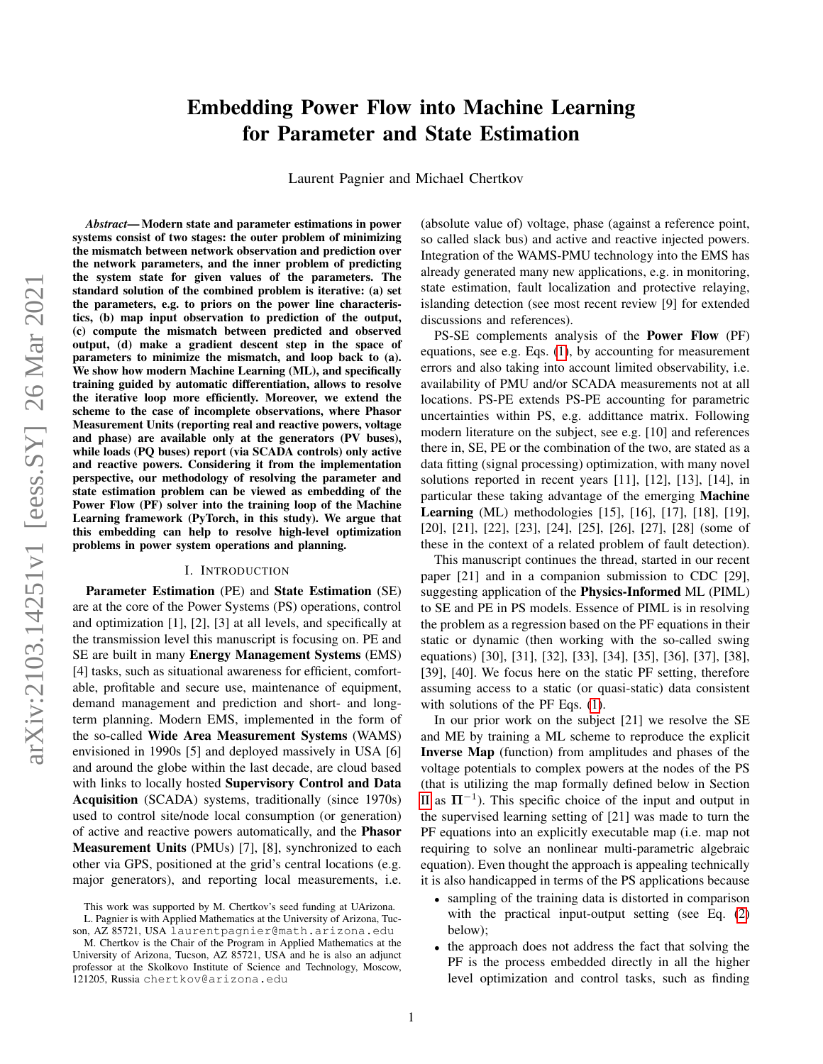# Embedding Power Flow into Machine Learning for Parameter and State Estimation

Laurent Pagnier and Michael Chertkov

arXiv:2103.14251v1 [eess.SY] 26 Mar 2021 arXiv:2103.14251v1 [eess.SY] 26 Mar 2021

*Abstract*— Modern state and parameter estimations in power systems consist of two stages: the outer problem of minimizing the mismatch between network observation and prediction over the network parameters, and the inner problem of predicting the system state for given values of the parameters. The standard solution of the combined problem is iterative: (a) set the parameters, e.g. to priors on the power line characteristics, (b) map input observation to prediction of the output, (c) compute the mismatch between predicted and observed output, (d) make a gradient descent step in the space of parameters to minimize the mismatch, and loop back to (a). We show how modern Machine Learning (ML), and specifically training guided by automatic differentiation, allows to resolve the iterative loop more efficiently. Moreover, we extend the scheme to the case of incomplete observations, where Phasor Measurement Units (reporting real and reactive powers, voltage and phase) are available only at the generators (PV buses), while loads (PQ buses) report (via SCADA controls) only active and reactive powers. Considering it from the implementation perspective, our methodology of resolving the parameter and state estimation problem can be viewed as embedding of the Power Flow (PF) solver into the training loop of the Machine Learning framework (PyTorch, in this study). We argue that this embedding can help to resolve high-level optimization problems in power system operations and planning.

# I. INTRODUCTION

Parameter Estimation (PE) and State Estimation (SE) are at the core of the Power Systems (PS) operations, control and optimization [1], [2], [3] at all levels, and specifically at the transmission level this manuscript is focusing on. PE and SE are built in many Energy Management Systems (EMS) [4] tasks, such as situational awareness for efficient, comfortable, profitable and secure use, maintenance of equipment, demand management and prediction and short- and longterm planning. Modern EMS, implemented in the form of the so-called Wide Area Measurement Systems (WAMS) envisioned in 1990s [5] and deployed massively in USA [6] and around the globe within the last decade, are cloud based with links to locally hosted Supervisory Control and Data Acquisition (SCADA) systems, traditionally (since 1970s) used to control site/node local consumption (or generation) of active and reactive powers automatically, and the Phasor Measurement Units (PMUs) [7], [8], synchronized to each other via GPS, positioned at the grid's central locations (e.g. major generators), and reporting local measurements, i.e.

(absolute value of) voltage, phase (against a reference point, so called slack bus) and active and reactive injected powers. Integration of the WAMS-PMU technology into the EMS has already generated many new applications, e.g. in monitoring, state estimation, fault localization and protective relaying, islanding detection (see most recent review [9] for extended discussions and references).

PS-SE complements analysis of the Power Flow (PF) equations, see e.g. Eqs. [\(1\)](#page-1-0), by accounting for measurement errors and also taking into account limited observability, i.e. availability of PMU and/or SCADA measurements not at all locations. PS-PE extends PS-PE accounting for parametric uncertainties within PS, e.g. addittance matrix. Following modern literature on the subject, see e.g. [10] and references there in, SE, PE or the combination of the two, are stated as a data fitting (signal processing) optimization, with many novel solutions reported in recent years [11], [12], [13], [14], in particular these taking advantage of the emerging Machine Learning (ML) methodologies [15], [16], [17], [18], [19], [20], [21], [22], [23], [24], [25], [26], [27], [28] (some of these in the context of a related problem of fault detection).

This manuscript continues the thread, started in our recent paper [21] and in a companion submission to CDC [29], suggesting application of the Physics-Informed ML (PIML) to SE and PE in PS models. Essence of PIML is in resolving the problem as a regression based on the PF equations in their static or dynamic (then working with the so-called swing equations) [30], [31], [32], [33], [34], [35], [36], [37], [38], [39], [40]. We focus here on the static PF setting, therefore assuming access to a static (or quasi-static) data consistent with solutions of the PF Eqs.  $(1)$ .

In our prior work on the subject [21] we resolve the SE and ME by training a ML scheme to reproduce the explicit Inverse Map (function) from amplitudes and phases of the voltage potentials to complex powers at the nodes of the PS (that is utilizing the map formally defined below in Section [II](#page-1-1) as  $\Pi^{-1}$ ). This specific choice of the input and output in the supervised learning setting of [21] was made to turn the PF equations into an explicitly executable map (i.e. map not requiring to solve an nonlinear multi-parametric algebraic equation). Even thought the approach is appealing technically it is also handicapped in terms of the PS applications because

- sampling of the training data is distorted in comparison with the practical input-output setting (see Eq. [\(2\)](#page-1-2) below);
- the approach does not address the fact that solving the PF is the process embedded directly in all the higher level optimization and control tasks, such as finding

This work was supported by M. Chertkov's seed funding at UArizona. L. Pagnier is with Applied Mathematics at the University of Arizona, Tucson, AZ 85721, USA laurentpagnier@math.arizona.edu

M. Chertkov is the Chair of the Program in Applied Mathematics at the University of Arizona, Tucson, AZ 85721, USA and he is also an adjunct professor at the Skolkovo Institute of Science and Technology, Moscow, 121205, Russia chertkov@arizona.edu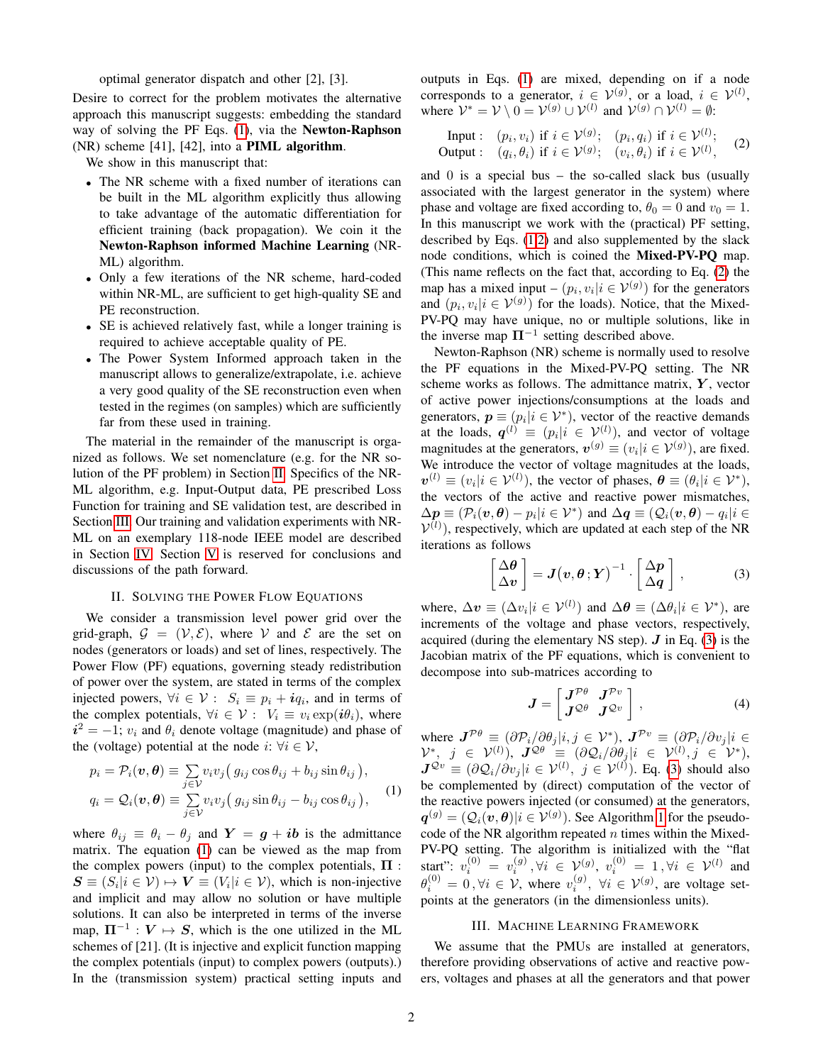optimal generator dispatch and other [2], [3].

Desire to correct for the problem motivates the alternative approach this manuscript suggests: embedding the standard way of solving the PF Eqs. [\(1\)](#page-1-0), via the Newton-Raphson (NR) scheme [41], [42], into a PIML algorithm.

We show in this manuscript that:

- The NR scheme with a fixed number of iterations can be built in the ML algorithm explicitly thus allowing to take advantage of the automatic differentiation for efficient training (back propagation). We coin it the Newton-Raphson informed Machine Learning (NR-ML) algorithm.
- Only a few iterations of the NR scheme, hard-coded within NR-ML, are sufficient to get high-quality SE and PE reconstruction.
- SE is achieved relatively fast, while a longer training is required to achieve acceptable quality of PE.
- The Power System Informed approach taken in the manuscript allows to generalize/extrapolate, i.e. achieve a very good quality of the SE reconstruction even when tested in the regimes (on samples) which are sufficiently far from these used in training.

The material in the remainder of the manuscript is organized as follows. We set nomenclature (e.g. for the NR solution of the PF problem) in Section [II.](#page-1-1) Specifics of the NR-ML algorithm, e.g. Input-Output data, PE prescribed Loss Function for training and SE validation test, are described in Section [III.](#page-1-3) Our training and validation experiments with NR-ML on an exemplary 118-node IEEE model are described in Section [IV.](#page-2-0) Section [V](#page-3-0) is reserved for conclusions and discussions of the path forward.

## II. SOLVING THE POWER FLOW EQUATIONS

<span id="page-1-1"></span>We consider a transmission level power grid over the grid-graph,  $\mathcal{G} = (\mathcal{V}, \mathcal{E})$ , where V and E are the set on nodes (generators or loads) and set of lines, respectively. The Power Flow (PF) equations, governing steady redistribution of power over the system, are stated in terms of the complex injected powers,  $\forall i \in \mathcal{V} : S_i \equiv p_i + iq_i$ , and in terms of the complex potentials,  $\forall i \in \mathcal{V} : V_i \equiv v_i \exp(i\theta_i)$ , where  $i^2 = -1$ ;  $v_i$  and  $\theta_i$  denote voltage (magnitude) and phase of the (voltage) potential at the node  $i: \forall i \in \mathcal{V}$ ,

$$
p_i = \mathcal{P}_i(\boldsymbol{v}, \boldsymbol{\theta}) \equiv \sum_{j \in \mathcal{V}} v_i v_j (g_{ij} \cos \theta_{ij} + b_{ij} \sin \theta_{ij}),
$$
  
\n
$$
q_i = \mathcal{Q}_i(\boldsymbol{v}, \boldsymbol{\theta}) \equiv \sum_{j \in \mathcal{V}} v_i v_j (g_{ij} \sin \theta_{ij} - b_{ij} \cos \theta_{ij}),
$$
 (1)

where  $\theta_{ij} \equiv \theta_i - \theta_j$  and  $Y = g + ib$  is the admittance matrix. The equation [\(1\)](#page-1-0) can be viewed as the map from the complex powers (input) to the complex potentials,  $\Pi$ :  $S \equiv (S_i | i \in V) \mapsto V \equiv (V_i | i \in V)$ , which is non-injective and implicit and may allow no solution or have multiple solutions. It can also be interpreted in terms of the inverse map,  $\Pi^{-1}: V \mapsto S$ , which is the one utilized in the ML schemes of [21]. (It is injective and explicit function mapping the complex potentials (input) to complex powers (outputs).) In the (transmission system) practical setting inputs and outputs in Eqs. [\(1\)](#page-1-0) are mixed, depending on if a node corresponds to a generator,  $i \in \mathcal{V}^{(g)}$ , or a load,  $i \in \mathcal{V}^{(l)}$ , where  $\mathcal{V}^* = \mathcal{V} \setminus 0 = \mathcal{V}^{(g)} \cup \mathcal{V}^{(l)}$  and  $\mathcal{V}^{(g)} \cap \mathcal{V}^{(l)} = \emptyset$ :

<span id="page-1-2"></span>Input: 
$$
(p_i, v_i)
$$
 if  $i \in \mathcal{V}^{(g)}$ ;  $(p_i, q_i)$  if  $i \in \mathcal{V}^{(l)}$ ;  
Output:  $(q_i, \theta_i)$  if  $i \in \mathcal{V}^{(g)}$ ;  $(v_i, \theta_i)$  if  $i \in \mathcal{V}^{(l)}$ , (2)

and  $0$  is a special bus – the so-called slack bus (usually associated with the largest generator in the system) where phase and voltage are fixed according to,  $\theta_0 = 0$  and  $v_0 = 1$ . In this manuscript we work with the (practical) PF setting, described by Eqs. [\(1,](#page-1-0)[2\)](#page-1-2) and also supplemented by the slack node conditions, which is coined the Mixed-PV-PQ map. (This name reflects on the fact that, according to Eq. [\(2\)](#page-1-2) the map has a mixed input –  $(p_i, v_i | i \in \mathcal{V}^{(g)})$  for the generators and  $(p_i, v_i | i \in \mathcal{V}^{(g)})$  for the loads). Notice, that the Mixed-PV-PQ may have unique, no or multiple solutions, like in the inverse map  $\Pi^{-1}$  setting described above.

Newton-Raphson (NR) scheme is normally used to resolve the PF equations in the Mixed-PV-PQ setting. The NR scheme works as follows. The admittance matrix,  $Y$ , vector of active power injections/consumptions at the loads and generators,  $p \equiv (p_i | i \in \mathcal{V}^*)$ , vector of the reactive demands at the loads,  $q^{(l)} \equiv (p_i | i \in \mathcal{V}^{(l)})$ , and vector of voltage magnitudes at the generators,  $v^{(g)} \equiv (v_i | i \in \mathcal{V}^{(g)})$ , are fixed. We introduce the vector of voltage magnitudes at the loads,  $v^{(l)} \equiv (v_i | i \in \mathcal{V}^{(l)})$ , the vector of phases,  $\boldsymbol{\theta} \equiv (\theta_i | i \in \mathcal{V}^*)$ , the vectors of the active and reactive power mismatches,  $\Delta p \equiv (\mathcal{P}_i(\boldsymbol{v}, \boldsymbol{\theta}) - p_i | i \in \mathcal{V}^*)$  and  $\Delta q \equiv (\mathcal{Q}_i(\boldsymbol{v}, \boldsymbol{\theta}) - q_i | i \in \mathcal{V}^*)$  $V^{(l)}$ ), respectively, which are updated at each step of the NR iterations as follows

<span id="page-1-4"></span>
$$
\begin{bmatrix}\n\Delta \theta \\
\Delta v\n\end{bmatrix} = J(v, \theta; Y)^{-1} \cdot \begin{bmatrix}\n\Delta p \\
\Delta q\n\end{bmatrix},
$$
\n(3)

where,  $\Delta v \equiv (\Delta v_i | i \in \mathcal{V}^{(l)})$  and  $\Delta \theta \equiv (\Delta \theta_i | i \in \mathcal{V}^*)$ , are increments of the voltage and phase vectors, respectively, acquired (during the elementary NS step).  $J$  in Eq. [\(3\)](#page-1-4) is the Jacobian matrix of the PF equations, which is convenient to decompose into sub-matrices according to

$$
\boldsymbol{J} = \begin{bmatrix} \boldsymbol{J}^{\mathcal{P}\theta} & \boldsymbol{J}^{\mathcal{P}v} \\ \boldsymbol{J}^{\mathcal{Q}\theta} & \boldsymbol{J}^{\mathcal{Q}v} \end{bmatrix}, \tag{4}
$$

<span id="page-1-0"></span>where  $J^{P\theta} \equiv (\partial \mathcal{P}_i/\partial \theta_j | i, j \in \mathcal{V}^*)$ ,  $J^{Pv} \equiv (\partial \mathcal{P}_i/\partial v_j | i \in \mathcal{V}^*)$  $\mathcal{V}^{*}, \, j \, \in \, \mathcal{V}^{(l)}), \, \, \boldsymbol{J}^{\mathcal{Q}\theta} \, \, \equiv \, \, (\partial \mathcal{Q}_i / \partial \theta_j \vert i \, \, \in \, \, \mathcal{V}^{(l)}, j \, \, \in \, \, \mathcal{V}^{*}),$  $J^{\mathcal{Q}v} \equiv (\partial \mathcal{Q}_i/\partial v_j|i \in \mathcal{V}^{(l)},\,\,j \in \mathcal{V}^{(l)}).$  Eq. [\(3\)](#page-1-4) should also be complemented by (direct) computation of the vector of the reactive powers injected (or consumed) at the generators,  $q^{(g)} = (Q_i(v, \theta)|i \in \mathcal{V}^{(g)})$ . See Algorithm [1](#page-2-1) for the pseudocode of the NR algorithm repeated  $n$  times within the Mixed-PV-PQ setting. The algorithm is initialized with the "flat start":  $v_i^{(0)} = v_i^{(g)}$ ,  $\forall i \in \mathcal{V}^{(g)}$ ,  $v_i^{(0)} = 1$ ,  $\forall i \in \mathcal{V}^{(l)}$  and  $\theta_i^{(0)} = 0, \forall i \in \mathcal{V}$ , where  $v_i^{(g)}$ ,  $\forall i \in \mathcal{V}^{(g)}$ , are voltage setpoints at the generators (in the dimensionless units).

#### III. MACHINE LEARNING FRAMEWORK

<span id="page-1-3"></span>We assume that the PMUs are installed at generators, therefore providing observations of active and reactive powers, voltages and phases at all the generators and that power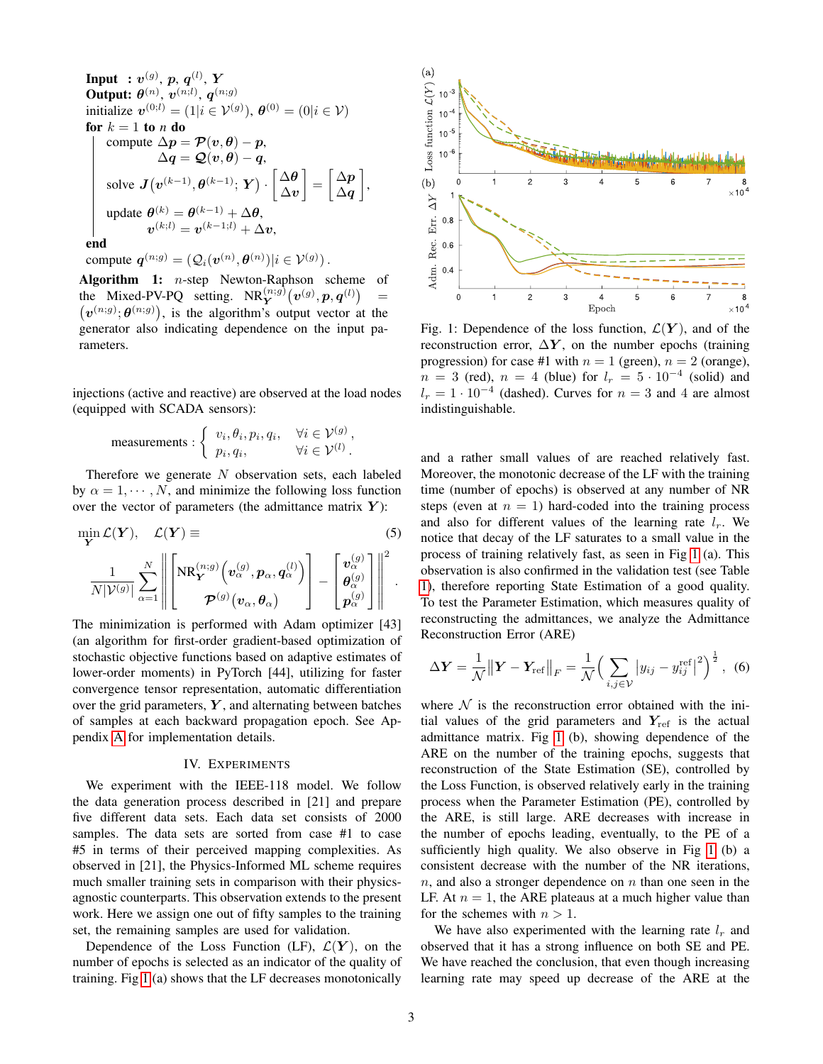**Input** : 
$$
v^{(g)}
$$
, p, q<sup>(l)</sup>, Y  
\n**Output**:  $\theta^{(n)}$ ,  $v^{(n;l)}$ ,  $q^{(n;g)}$   
\ninitialize  $v^{(0;l)} = (1|i \in \mathcal{V}^{(g)})$ ,  $\theta^{(0)} = (0|i \in \mathcal{V})$   
\n**for**  $k = 1$  **to** n **do**  
\ncompute  $\Delta p = \mathcal{P}(v, \theta) - p$ ,  
\n $\Delta q = \mathcal{Q}(v, \theta) - q$ ,  
\nsolve  $J(v^{(k-1)}, \theta^{(k-1)}; Y) \cdot \begin{bmatrix} \Delta \theta \\ \Delta v \end{bmatrix} = \begin{bmatrix} \Delta p \\ \Delta q \end{bmatrix}$ ,  
\nupdate  $\theta^{(k)} = \theta^{(k-1)} + \Delta \theta$ ,  
\n $v^{(k;l)} = v^{(k-1;l)} + \Delta v$ ,  
\nend

compute  $\boldsymbol{q}^{(n;g)} = (\mathcal{Q}_i(\boldsymbol{v}^{(n)},\boldsymbol{\theta}^{(n)})|i \in \mathcal{V}^{(g)})$ .

<span id="page-2-1"></span>**Algorithm 1:**  $n$ -step Newton-Raphson scheme of the Mixed-PV-PQ setting.  $NR_Y^{(n;g)}(v^{(g)}, p, q^{(l)})$ =  $(v^{(n,g)}; \theta^{(n,g)})$ , is the algorithm's output vector at the generator also indicating dependence on the input parameters.

injections (active and reactive) are observed at the load nodes (equipped with SCADA sensors):

measurements : 
$$
\begin{cases} v_i, \theta_i, p_i, q_i, & \forall i \in \mathcal{V}^{(g)}, \\ p_i, q_i, & \forall i \in \mathcal{V}^{(l)}. \end{cases}
$$

Therefore we generate  $N$  observation sets, each labeled by  $\alpha = 1, \dots, N$ , and minimize the following loss function over the vector of parameters (the admittance matrix  $Y$ ):

$$
\min_{\mathbf{Y}} \mathcal{L}(\mathbf{Y}), \quad \mathcal{L}(\mathbf{Y}) \equiv \tag{5}
$$
\n
$$
\frac{1}{N|\mathcal{V}^{(g)}|} \sum_{\alpha=1}^{N} \left\| \left[ NR_{\mathbf{Y}}^{(n;g)} \left( v_{\alpha}^{(g)}, p_{\alpha}, q_{\alpha}^{(l)} \right) \right] - \left[ \begin{array}{c} v_{\alpha}^{(g)} \\ \theta_{\alpha}^{(g)} \\ p_{\alpha}^{(g)} \end{array} \right] \right\|^{2}.
$$

The minimization is performed with Adam optimizer [43] (an algorithm for first-order gradient-based optimization of stochastic objective functions based on adaptive estimates of lower-order moments) in PyTorch [44], utilizing for faster convergence tensor representation, automatic differentiation over the grid parameters,  $Y$ , and alternating between batches of samples at each backward propagation epoch. See Appendix [A](#page-4-0) for implementation details.

#### IV. EXPERIMENTS

<span id="page-2-0"></span>We experiment with the IEEE-118 model. We follow the data generation process described in [21] and prepare five different data sets. Each data set consists of 2000 samples. The data sets are sorted from case #1 to case #5 in terms of their perceived mapping complexities. As observed in [21], the Physics-Informed ML scheme requires much smaller training sets in comparison with their physicsagnostic counterparts. This observation extends to the present work. Here we assign one out of fifty samples to the training set, the remaining samples are used for validation.

Dependence of the Loss Function (LF),  $\mathcal{L}(\mathbf{Y})$ , on the number of epochs is selected as an indicator of the quality of training. Fig [1](#page-2-2) (a) shows that the LF decreases monotonically

<span id="page-2-2"></span>

Fig. 1: Dependence of the loss function,  $\mathcal{L}(\boldsymbol{Y})$ , and of the reconstruction error,  $\Delta Y$ , on the number epochs (training progression) for case #1 with  $n = 1$  (green),  $n = 2$  (orange),  $n = 3$  (red),  $n = 4$  (blue) for  $l_r = 5 \cdot 10^{-4}$  (solid) and  $l_r = 1 \cdot 10^{-4}$  (dashed). Curves for  $n = 3$  and 4 are almost indistinguishable.

and a rather small values of are reached relatively fast. Moreover, the monotonic decrease of the LF with the training time (number of epochs) is observed at any number of NR steps (even at  $n = 1$ ) hard-coded into the training process and also for different values of the learning rate  $l_r$ . We notice that decay of the LF saturates to a small value in the process of training relatively fast, as seen in Fig [1](#page-2-2) (a). This observation is also confirmed in the validation test (see Table [1\)](#page-3-1), therefore reporting State Estimation of a good quality. To test the Parameter Estimation, which measures quality of reconstructing the admittances, we analyze the Admittance Reconstruction Error (ARE)

$$
\Delta \mathbf{Y} = \frac{1}{\mathcal{N}} \left\| \mathbf{Y} - \mathbf{Y}_{\text{ref}} \right\|_{F} = \frac{1}{\mathcal{N}} \Big( \sum_{i,j \in \mathcal{V}} \left| y_{ij} - y_{ij}^{\text{ref}} \right|^{2} \Big)^{\frac{1}{2}}, \tag{6}
$$

where  $N$  is the reconstruction error obtained with the initial values of the grid parameters and  $Y_{ref}$  is the actual admittance matrix. Fig [1](#page-2-2) (b), showing dependence of the ARE on the number of the training epochs, suggests that reconstruction of the State Estimation (SE), controlled by the Loss Function, is observed relatively early in the training process when the Parameter Estimation (PE), controlled by the ARE, is still large. ARE decreases with increase in the number of epochs leading, eventually, to the PE of a sufficiently high quality. We also observe in Fig [1](#page-2-2) (b) a consistent decrease with the number of the NR iterations,  $n$ , and also a stronger dependence on  $n$  than one seen in the LF. At  $n = 1$ , the ARE plateaus at a much higher value than for the schemes with  $n > 1$ .

We have also experimented with the learning rate  $l_r$  and observed that it has a strong influence on both SE and PE. We have reached the conclusion, that even though increasing learning rate may speed up decrease of the ARE at the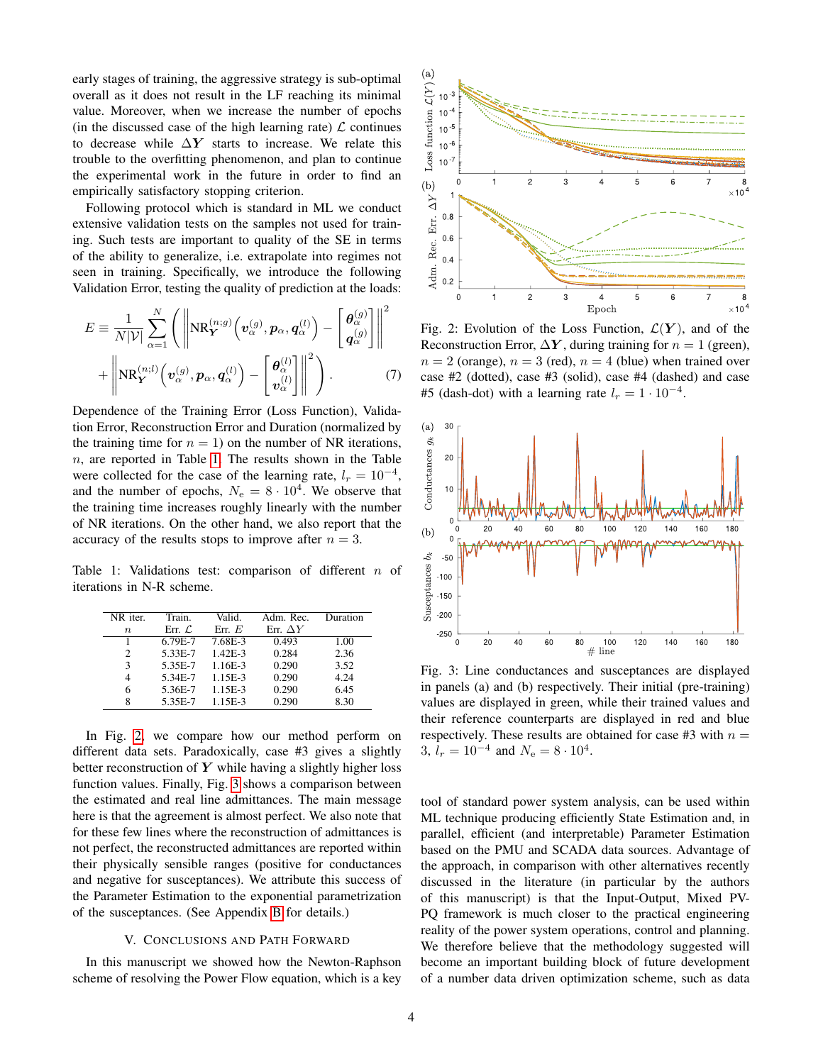early stages of training, the aggressive strategy is sub-optimal overall as it does not result in the LF reaching its minimal value. Moreover, when we increase the number of epochs (in the discussed case of the high learning rate)  $\mathcal L$  continues to decrease while  $\Delta Y$  starts to increase. We relate this trouble to the overfitting phenomenon, and plan to continue the experimental work in the future in order to find an empirically satisfactory stopping criterion.

Following protocol which is standard in ML we conduct extensive validation tests on the samples not used for training. Such tests are important to quality of the SE in terms of the ability to generalize, i.e. extrapolate into regimes not seen in training. Specifically, we introduce the following Validation Error, testing the quality of prediction at the loads:

$$
E = \frac{1}{N|\mathcal{V}|} \sum_{\alpha=1}^{N} \left( \left\| \mathbf{NR}_{\mathbf{Y}}^{(n;g)} \left( \mathbf{v}_{\alpha}^{(g)}, \mathbf{p}_{\alpha}, \mathbf{q}_{\alpha}^{(l)} \right) - \left[ \frac{\boldsymbol{\theta}_{\alpha}^{(g)}}{\mathbf{q}_{\alpha}^{(g)}} \right] \right\|^2 + \left\| \mathbf{NR}_{\mathbf{Y}}^{(n;l)} \left( \mathbf{v}_{\alpha}^{(g)}, \mathbf{p}_{\alpha}, \mathbf{q}_{\alpha}^{(l)} \right) - \left[ \frac{\boldsymbol{\theta}_{\alpha}^{(l)}}{\mathbf{v}_{\alpha}^{(l)}} \right] \right\|^2 \right). \tag{7}
$$

Dependence of the Training Error (Loss Function), Validation Error, Reconstruction Error and Duration (normalized by the training time for  $n = 1$ ) on the number of NR iterations,  $n$ , are reported in Table [1.](#page-3-1) The results shown in the Table were collected for the case of the learning rate,  $l_r = 10^{-4}$ , and the number of epochs,  $N_e = 8 \cdot 10^4$ . We observe that the training time increases roughly linearly with the number of NR iterations. On the other hand, we also report that the accuracy of the results stops to improve after  $n = 3$ .

<span id="page-3-1"></span>Table 1: Validations test: comparison of different  $n$  of iterations in N-R scheme.

| NR iter.         | Train.             | Valid.    | Adm. Rec.       | Duration |
|------------------|--------------------|-----------|-----------------|----------|
| $\boldsymbol{n}$ | Err. $\mathcal{L}$ | Err E     | Err. $\Delta Y$ |          |
|                  | $6.79E - 7$        | 7.68E-3   | 0.493           | 1.00     |
| 2                | 5.33E-7            | $1.42E-3$ | 0.284           | 2.36     |
| 3                | 5.35E-7            | 1.16E-3   | 0.290           | 3.52     |
| 4                | 5.34E-7            | 1.15E-3   | 0.290           | 4.24     |
| 6                | 5.36E-7            | 1.15E-3   | 0.290           | 6.45     |
| 8                | 5.35E-7            | 1.15E-3   | 0.290           | 8.30     |

In Fig. [2,](#page-3-2) we compare how our method perform on different data sets. Paradoxically, case #3 gives a slightly better reconstruction of  $Y$  while having a slightly higher loss function values. Finally, Fig. [3](#page-3-3) shows a comparison between the estimated and real line admittances. The main message here is that the agreement is almost perfect. We also note that for these few lines where the reconstruction of admittances is not perfect, the reconstructed admittances are reported within their physically sensible ranges (positive for conductances and negative for susceptances). We attribute this success of the Parameter Estimation to the exponential parametrization of the susceptances. (See Appendix [B](#page-5-0) for details.)

### V. CONCLUSIONS AND PATH FORWARD

<span id="page-3-0"></span>In this manuscript we showed how the Newton-Raphson scheme of resolving the Power Flow equation, which is a key

<span id="page-3-2"></span>

Fig. 2: Evolution of the Loss Function,  $\mathcal{L}(\boldsymbol{Y})$ , and of the Reconstruction Error,  $\Delta Y$ , during training for  $n = 1$  (green),  $n = 2$  (orange),  $n = 3$  (red),  $n = 4$  (blue) when trained over case #2 (dotted), case #3 (solid), case #4 (dashed) and case #5 (dash-dot) with a learning rate  $l_r = 1 \cdot 10^{-4}$ .

<span id="page-3-3"></span>

Fig. 3: Line conductances and susceptances are displayed in panels (a) and (b) respectively. Their initial (pre-training) values are displayed in green, while their trained values and their reference counterparts are displayed in red and blue respectively. These results are obtained for case #3 with  $n =$ 3,  $l_r = 10^{-4}$  and  $N_e = 8 \cdot 10^4$ .

tool of standard power system analysis, can be used within ML technique producing efficiently State Estimation and, in parallel, efficient (and interpretable) Parameter Estimation based on the PMU and SCADA data sources. Advantage of the approach, in comparison with other alternatives recently discussed in the literature (in particular by the authors of this manuscript) is that the Input-Output, Mixed PV-PQ framework is much closer to the practical engineering reality of the power system operations, control and planning. We therefore believe that the methodology suggested will become an important building block of future development of a number data driven optimization scheme, such as data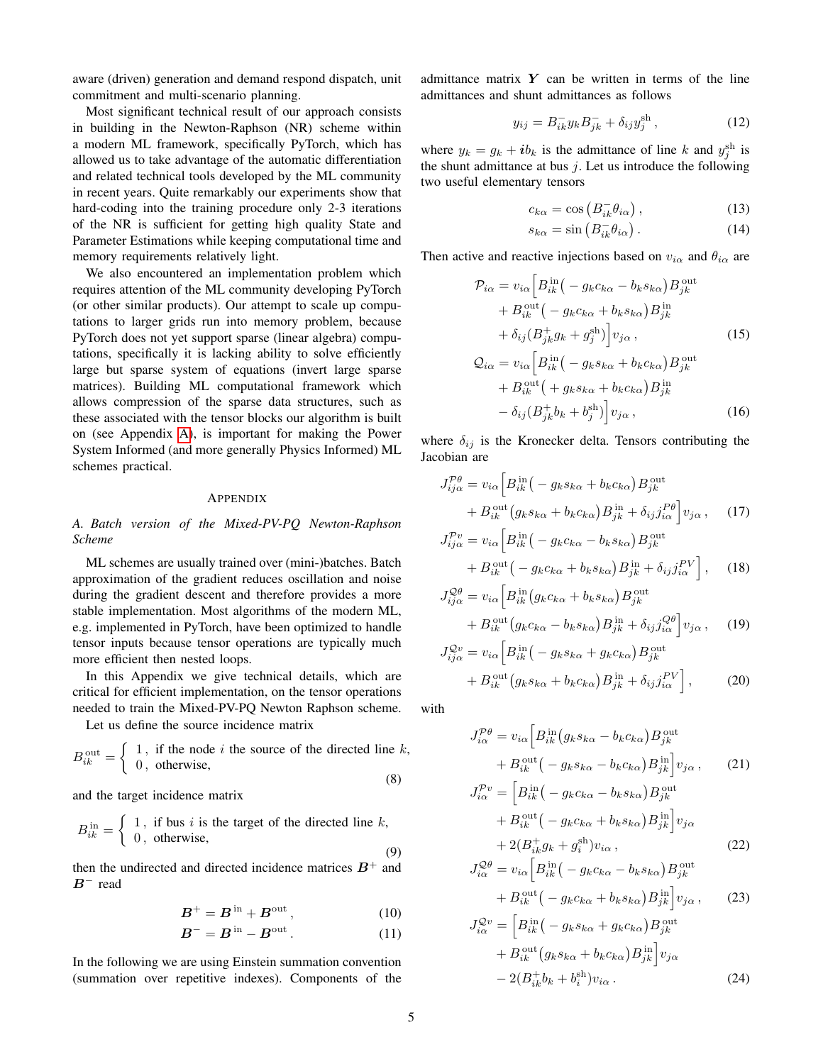aware (driven) generation and demand respond dispatch, unit commitment and multi-scenario planning.

Most significant technical result of our approach consists in building in the Newton-Raphson (NR) scheme within a modern ML framework, specifically PyTorch, which has allowed us to take advantage of the automatic differentiation and related technical tools developed by the ML community in recent years. Quite remarkably our experiments show that hard-coding into the training procedure only 2-3 iterations of the NR is sufficient for getting high quality State and Parameter Estimations while keeping computational time and memory requirements relatively light.

We also encountered an implementation problem which requires attention of the ML community developing PyTorch (or other similar products). Our attempt to scale up computations to larger grids run into memory problem, because PyTorch does not yet support sparse (linear algebra) computations, specifically it is lacking ability to solve efficiently large but sparse system of equations (invert large sparse matrices). Building ML computational framework which allows compression of the sparse data structures, such as these associated with the tensor blocks our algorithm is built on (see Appendix [A\)](#page-4-0), is important for making the Power System Informed (and more generally Physics Informed) ML schemes practical.

#### APPENDIX

# <span id="page-4-0"></span>*A. Batch version of the Mixed-PV-PQ Newton-Raphson Scheme*

ML schemes are usually trained over (mini-)batches. Batch approximation of the gradient reduces oscillation and noise during the gradient descent and therefore provides a more stable implementation. Most algorithms of the modern ML, e.g. implemented in PyTorch, have been optimized to handle tensor inputs because tensor operations are typically much more efficient then nested loops.

In this Appendix we give technical details, which are critical for efficient implementation, on the tensor operations needed to train the Mixed-PV-PQ Newton Raphson scheme.

Let us define the source incidence matrix

$$
B_{ik}^{\text{out}} = \begin{cases} 1, & \text{if the node } i \text{ the source of the directed line } k, \\ 0, & \text{otherwise,} \end{cases}
$$
 (8)

and the target incidence matrix

$$
B_{ik}^{\text{in}} = \begin{cases} 1, & \text{if bus } i \text{ is the target of the directed line } k, \\ 0, & \text{otherwise,} \end{cases}
$$
 (9)

then the undirected and directed incidence matrices  $B^+$  and  $B^-$  read

$$
B^+ = B^{\text{ in}} + B^{\text{out}}, \qquad (10)
$$

$$
B^- = B^{\text{ in}} - B^{\text{out}}.
$$
 (11)

In the following we are using Einstein summation convention (summation over repetitive indexes). Components of the admittance matrix  $Y$  can be written in terms of the line admittances and shunt admittances as follows

$$
y_{ij} = B_{ik}^- y_k B_{jk}^- + \delta_{ij} y_j^{\text{sh}}, \qquad (12)
$$

where  $y_k = g_k + ib_k$  is the admittance of line k and  $y_j^{\text{sh}}$  is the shunt admittance at bus  $j$ . Let us introduce the following two useful elementary tensors

$$
c_{k\alpha} = \cos\left(B_{ik}^- \theta_{i\alpha}\right),\tag{13}
$$

$$
s_{k\alpha} = \sin\left(B_{ik}^- \theta_{i\alpha}\right). \tag{14}
$$

Then active and reactive injections based on  $v_{i\alpha}$  and  $\theta_{i\alpha}$  are

$$
\mathcal{P}_{i\alpha} = v_{i\alpha} \Big[ B_{ik}^{\text{in}} \big( -g_k c_{k\alpha} - b_k s_{k\alpha} \big) B_{jk}^{\text{out}} \n+ B_{ik}^{\text{out}} \big( -g_k c_{k\alpha} + b_k s_{k\alpha} \big) B_{jk}^{\text{in}} \n+ \delta_{ij} (B_{jk}^{\pm} g_k + g_j^{\text{sh}}) \Big] v_{j\alpha} ,
$$
\n
$$
\mathcal{Q}_{i\alpha} = v_{i\alpha} \Big[ B_{ik}^{\text{in}} \big( -g_k s_{k\alpha} + b_k c_{k\alpha} \big) B_{jk}^{\text{out}} \Big]
$$
\n(15)

$$
Q_{i\alpha} = v_{i\alpha} \left[ B_{ik}^{in} \left( -g_k s_{k\alpha} + b_k c_{k\alpha} \right) B_{jk}^{out} \right.+ B_{ik}^{out} \left( +g_k s_{k\alpha} + b_k c_{k\alpha} \right) B_{jk}^{in}- \delta_{ij} \left( B_{jk}^{+} b_k + b_j^{sh} \right) \right] v_{j\alpha},
$$
(16)

where  $\delta_{ij}$  is the Kronecker delta. Tensors contributing the Jacobian are

$$
J_{ij\alpha}^{\mathcal{P}\theta} = v_{i\alpha} \Big[ B_{ik}^{\text{in}} \big( -g_k s_{k\alpha} + b_k c_{k\alpha} \big) B_{jk}^{\text{out}} + B_{ik}^{\text{out}} \big( g_k s_{k\alpha} + b_k c_{k\alpha} \big) B_{jk}^{\text{in}} + \delta_{ij} j_{i\alpha}^{\mathcal{P}\theta} \Big] v_{j\alpha} , \quad (17)
$$
  

$$
J_{ij\alpha}^{\mathcal{P}v} = v_{i\alpha} \Big[ B_{ik}^{\text{in}} \big( -g_k c_{k\alpha} - b_k s_{k\alpha} \big) B_{jk}^{\text{out}} \Big]
$$

$$
+ B_{ik}^{\text{out}} \left( - g_k c_{k\alpha} + b_k s_{k\alpha} \right) B_{jk}^{\text{in}} + \delta_{ij} j_{i\alpha}^{PV} \left( - g_k c_{k\alpha} + b_k s_{k\alpha} \right) B_{jk}^{\text{in}} + \delta_{ij} j_{i\alpha}^{PV} \left( 18 \right)
$$

$$
J_{ij\alpha}^{\mathcal{Q}\theta} = v_{i\alpha} \Big[ B_{ik}^{\text{in}} \big( g_k c_{k\alpha} + b_k s_{k\alpha} \big) B_{jk}^{\text{out}} + B_{ik}^{\text{out}} \big( g_k c_{k\alpha} - b_k s_{k\alpha} \big) B_{jk}^{\text{in}} + \delta_{ij} j_{i\alpha}^{\mathcal{Q}\theta} \Big] v_{j\alpha} , \quad (19)
$$

$$
J_{ij\alpha}^{\mathcal{Q}v} = v_{i\alpha} \Big[ B_{ik}^{\text{in}} \big( - g_k s_{k\alpha} + g_k c_{k\alpha} \big) B_{jk}^{\text{out}} + B_{ik}^{\text{out}} \big( g_k s_{k\alpha} + b_k c_{k\alpha} \big) B_{jk}^{\text{in}} + \delta_{ij} j_{i\alpha}^{PV} \Big], \tag{20}
$$

with

$$
J_{i\alpha}^{\mathcal{P}\theta} = v_{i\alpha} \Big[ B_{ik}^{\text{in}} \big( g_k s_{k\alpha} - b_k c_{k\alpha} \big) B_{jk}^{\text{out}} + B_{ik}^{\text{out}} \big( - g_k s_{k\alpha} - b_k c_{k\alpha} \big) B_{jk}^{\text{in}} \big] v_{j\alpha} , \qquad (21)
$$

$$
J_{i\alpha}^{\mathcal{P}v} = \Big[ B_{ik}^{\text{in}} \big( - g_k c_{k\alpha} - b_k s_{k\alpha} \big) B_{jk}^{\text{out}} \Big]
$$

$$
+ B_{ik}^{\text{out}} \left( - g_k c_{k\alpha} + b_k s_{k\alpha} \right) B_{jk}^{\text{in}} \Big] v_{j\alpha}
$$
  
+ 2\left( B\_{ik}^+ g\_k + g\_i^{\text{sh}} \right) v\_{i\alpha}, \tag{22}

$$
J_{i\alpha}^{\mathcal{Q}\theta} = v_{i\alpha} \Big[ B_{ik}^{\text{in}} \big( -g_k c_{k\alpha} - b_k s_{k\alpha} \big) B_{jk}^{\text{out}} + B_{ik}^{\text{out}} \big( -g_k c_{k\alpha} + b_k s_{k\alpha} \big) B_{jk}^{\text{in}} \big] v_{j\alpha} ,
$$
 (23)

$$
J_{i\alpha}^{\mathcal{Q}v} = \left[B_{ik}^{\text{in}}\left(-g_k s_{k\alpha} + g_k c_{k\alpha}\right) B_{jk}^{\text{out}}\right.+ B_{ik}^{\text{out}}\left(g_k s_{k\alpha} + b_k c_{k\alpha}\right) B_{jk}^{\text{in}}\right]v_{j\alpha}- 2(B_{ik}^+ b_k + b_i^{\text{sh}})v_{i\alpha}.
$$
 (24)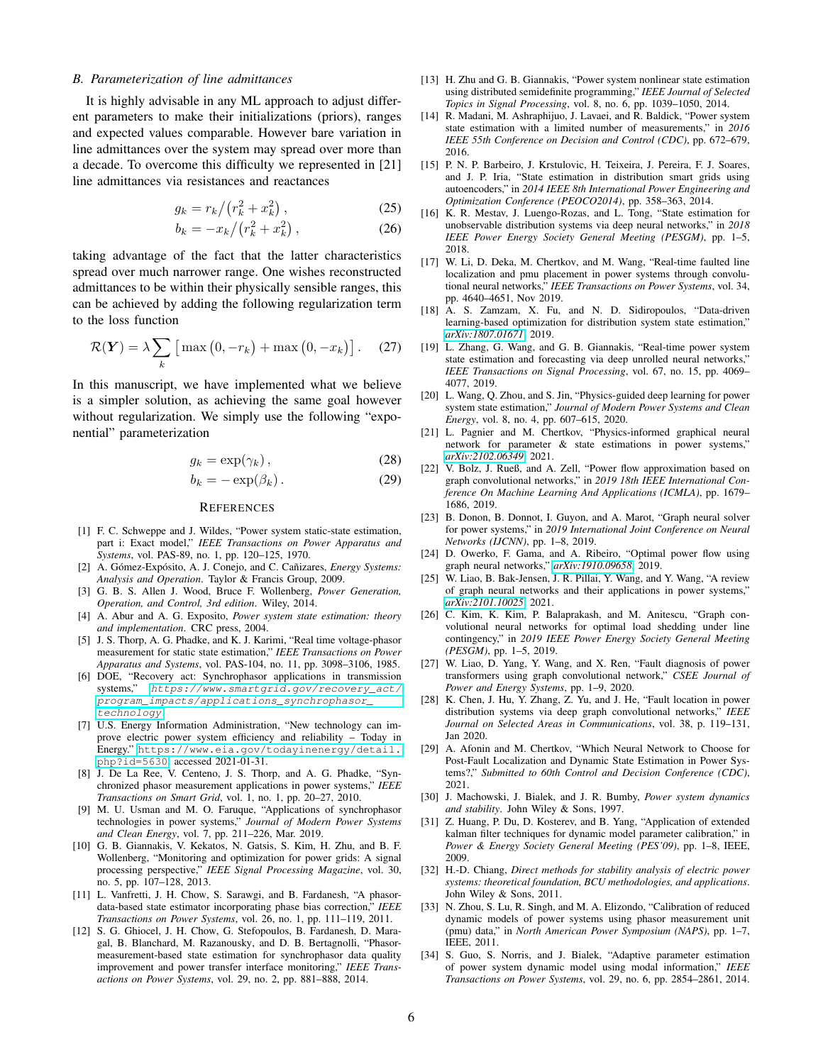# <span id="page-5-0"></span>*B. Parameterization of line admittances*

It is highly advisable in any ML approach to adjust different parameters to make their initializations (priors), ranges and expected values comparable. However bare variation in line admittances over the system may spread over more than a decade. To overcome this difficulty we represented in [21] line admittances via resistances and reactances

$$
g_k = r_k / (r_k^2 + x_k^2) \,, \tag{25}
$$

$$
b_k = -x_k / (r_k^2 + x_k^2) , \qquad (26)
$$

taking advantage of the fact that the latter characteristics spread over much narrower range. One wishes reconstructed admittances to be within their physically sensible ranges, this can be achieved by adding the following regularization term to the loss function

$$
\mathcal{R}(\boldsymbol{Y}) = \lambda \sum_{k} \left[ \max\left(0, -r_{k}\right) + \max\left(0, -x_{k}\right) \right]. \tag{27}
$$

In this manuscript, we have implemented what we believe is a simpler solution, as achieving the same goal however without regularization. We simply use the following "exponential" parameterization

$$
g_k = \exp(\gamma_k), \qquad (28)
$$

$$
b_k = -\exp(\beta_k). \tag{29}
$$

#### **REFERENCES**

- [1] F. C. Schweppe and J. Wildes, "Power system static-state estimation, part i: Exact model," *IEEE Transactions on Power Apparatus and Systems*, vol. PAS-89, no. 1, pp. 120–125, 1970.
- [2] A. Gómez-Expósito, A. J. Conejo, and C. Cañizares, *Energy Systems: Analysis and Operation*. Taylor & Francis Group, 2009.
- [3] G. B. S. Allen J. Wood, Bruce F. Wollenberg, *Power Generation, Operation, and Control, 3rd edition*. Wiley, 2014.
- [4] A. Abur and A. G. Exposito, *Power system state estimation: theory and implementation*. CRC press, 2004.
- [5] J. S. Thorp, A. G. Phadke, and K. J. Karimi, "Real time voltage-phasor measurement for static state estimation," *IEEE Transactions on Power Apparatus and Systems*, vol. PAS-104, no. 11, pp. 3098–3106, 1985.
- [6] DOE, "Recovery act: Synchrophasor applications in transmission systems," [https://www.smartgrid.gov/recovery\\_act/]( https://www.smartgrid.gov/recovery_act/program_impacts/applications_synchrophasor_technology) [program\\_impacts/applications\\_synchrophasor\\_]( https://www.smartgrid.gov/recovery_act/program_impacts/applications_synchrophasor_technology) [technology]( https://www.smartgrid.gov/recovery_act/program_impacts/applications_synchrophasor_technology).
- [7] U.S. Energy Information Administration, "New technology can improve electric power system efficiency and reliability – Today in Energy." [https://www.eia.gov/todayinenergy/detail.](https://www.eia.gov/todayinenergy/detail.php?id=5630) [php?id=5630](https://www.eia.gov/todayinenergy/detail.php?id=5630), accessed 2021-01-31.
- [8] J. De La Ree, V. Centeno, J. S. Thorp, and A. G. Phadke, "Synchronized phasor measurement applications in power systems," *IEEE Transactions on Smart Grid*, vol. 1, no. 1, pp. 20–27, 2010.
- [9] M. U. Usman and M. O. Faruque, "Applications of synchrophasor technologies in power systems," *Journal of Modern Power Systems and Clean Energy*, vol. 7, pp. 211–226, Mar. 2019.
- [10] G. B. Giannakis, V. Kekatos, N. Gatsis, S. Kim, H. Zhu, and B. F. Wollenberg, "Monitoring and optimization for power grids: A signal processing perspective," *IEEE Signal Processing Magazine*, vol. 30, no. 5, pp. 107–128, 2013.
- [11] L. Vanfretti, J. H. Chow, S. Sarawgi, and B. Fardanesh, "A phasordata-based state estimator incorporating phase bias correction," *IEEE Transactions on Power Systems*, vol. 26, no. 1, pp. 111–119, 2011.
- [12] S. G. Ghiocel, J. H. Chow, G. Stefopoulos, B. Fardanesh, D. Maragal, B. Blanchard, M. Razanousky, and D. B. Bertagnolli, "Phasormeasurement-based state estimation for synchrophasor data quality improvement and power transfer interface monitoring," *IEEE Transactions on Power Systems*, vol. 29, no. 2, pp. 881–888, 2014.
- [13] H. Zhu and G. B. Giannakis, "Power system nonlinear state estimation using distributed semidefinite programming," *IEEE Journal of Selected Topics in Signal Processing*, vol. 8, no. 6, pp. 1039–1050, 2014.
- [14] R. Madani, M. Ashraphijuo, J. Lavaei, and R. Baldick, "Power system state estimation with a limited number of measurements," in *2016 IEEE 55th Conference on Decision and Control (CDC)*, pp. 672–679, 2016.
- [15] P. N. P. Barbeiro, J. Krstulovic, H. Teixeira, J. Pereira, F. J. Soares, and J. P. Iria, "State estimation in distribution smart grids using autoencoders," in *2014 IEEE 8th International Power Engineering and Optimization Conference (PEOCO2014)*, pp. 358–363, 2014.
- [16] K. R. Mestav, J. Luengo-Rozas, and L. Tong, "State estimation for unobservable distribution systems via deep neural networks," in *2018 IEEE Power Energy Society General Meeting (PESGM)*, pp. 1–5, 2018.
- [17] W. Li, D. Deka, M. Chertkov, and M. Wang, "Real-time faulted line localization and pmu placement in power systems through convolutional neural networks," *IEEE Transactions on Power Systems*, vol. 34, pp. 4640–4651, Nov 2019.
- [18] A. S. Zamzam, X. Fu, and N. D. Sidiropoulos, "Data-driven learning-based optimization for distribution system state estimation," *[arXiv:1807.01671](http://arxiv.org/abs/1807.01671)*, 2019.
- [19] L. Zhang, G. Wang, and G. B. Giannakis, "Real-time power system state estimation and forecasting via deep unrolled neural networks," *IEEE Transactions on Signal Processing*, vol. 67, no. 15, pp. 4069– 4077, 2019.
- [20] L. Wang, Q. Zhou, and S. Jin, "Physics-guided deep learning for power system state estimation," *Journal of Modern Power Systems and Clean Energy*, vol. 8, no. 4, pp. 607–615, 2020.
- [21] L. Pagnier and M. Chertkov, "Physics-informed graphical neural network for parameter & state estimations in power systems," *[arXiv:2102.06349](http://arxiv.org/abs/2102.06349)*, 2021.
- [22] V. Bolz, J. Rueß, and A. Zell, "Power flow approximation based on graph convolutional networks," in *2019 18th IEEE International Conference On Machine Learning And Applications (ICMLA)*, pp. 1679– 1686, 2019.
- [23] B. Donon, B. Donnot, I. Guyon, and A. Marot, "Graph neural solver for power systems," in *2019 International Joint Conference on Neural Networks (IJCNN)*, pp. 1–8, 2019.
- [24] D. Owerko, F. Gama, and A. Ribeiro, "Optimal power flow using graph neural networks," *[arXiv:1910.09658](http://arxiv.org/abs/1910.09658)*, 2019.
- [25] W. Liao, B. Bak-Jensen, J. R. Pillai, Y. Wang, and Y. Wang, "A review of graph neural networks and their applications in power systems," *[arXiv:2101.10025](http://arxiv.org/abs/2101.10025)*, 2021.
- [26] C. Kim, K. Kim, P. Balaprakash, and M. Anitescu, "Graph convolutional neural networks for optimal load shedding under line contingency," in *2019 IEEE Power Energy Society General Meeting (PESGM)*, pp. 1–5, 2019.
- [27] W. Liao, D. Yang, Y. Wang, and X. Ren, "Fault diagnosis of power transformers using graph convolutional network," *CSEE Journal of Power and Energy Systems*, pp. 1–9, 2020.
- [28] K. Chen, J. Hu, Y. Zhang, Z. Yu, and J. He, "Fault location in power distribution systems via deep graph convolutional networks," *IEEE Journal on Selected Areas in Communications*, vol. 38, p. 119–131, Jan 2020.
- [29] A. Afonin and M. Chertkov, "Which Neural Network to Choose for Post-Fault Localization and Dynamic State Estimation in Power Systems?," *Submitted to 60th Control and Decision Conference (CDC)*, 2021.
- [30] J. Machowski, J. Bialek, and J. R. Bumby, *Power system dynamics and stability*. John Wiley & Sons, 1997.
- [31] Z. Huang, P. Du, D. Kosterev, and B. Yang, "Application of extended kalman filter techniques for dynamic model parameter calibration," in *Power & Energy Society General Meeting (PES'09)*, pp. 1–8, IEEE, 2009.
- [32] H.-D. Chiang, *Direct methods for stability analysis of electric power systems: theoretical foundation, BCU methodologies, and applications*. John Wiley & Sons, 2011.
- [33] N. Zhou, S. Lu, R. Singh, and M. A. Elizondo, "Calibration of reduced dynamic models of power systems using phasor measurement unit (pmu) data," in *North American Power Symposium (NAPS)*, pp. 1–7, IEEE, 2011.
- [34] S. Guo, S. Norris, and J. Bialek, "Adaptive parameter estimation of power system dynamic model using modal information," *IEEE Transactions on Power Systems*, vol. 29, no. 6, pp. 2854–2861, 2014.